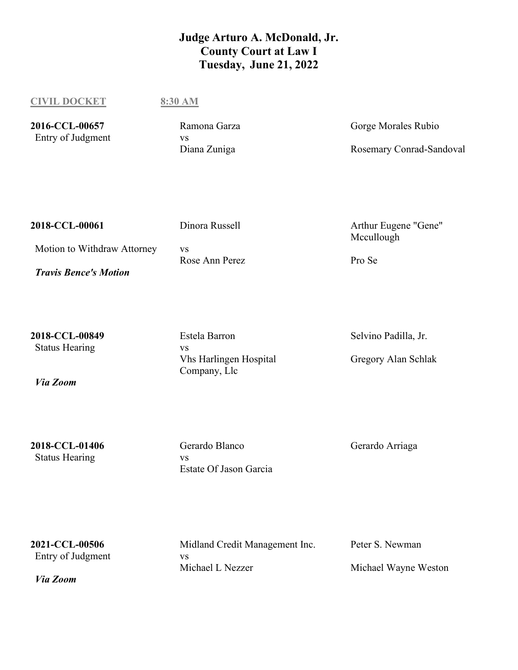## **Judge Arturo A. McDonald, Jr. County Court at Law I Tuesday, June 21, 2022**

**CIVIL DOCKET 8:30 AM**

2016-CCL-00657 Ramona Garza Gorge Morales Rubio

Entry of Judgment vs<br>
Vs<br>
Diana Zuniga

Rosemary Conrad-Sandoval

| 2018-CCL-00061               | Dinora Russell        | Arthur Eugene "Gene"<br>Mccullough |
|------------------------------|-----------------------|------------------------------------|
| Motion to Withdraw Attorney  | VS.<br>Rose Ann Perez | Pro Se                             |
| <b>Travis Bence's Motion</b> |                       |                                    |

Status Hearing vs

*Via Zoom*

**2018-CCL-00849** Estela Barron Selvino Padilla, Jr. Vhs Harlingen Hospital Company, Llc

Gregory Alan Schlak

Status Hearing vs

**2018-CCL-01406** Gerardo Blanco Gerardo Arriaga Estate Of Jason Garcia

Entry of Judgment vs

*Via Zoom*

**2021-CCL-00506** Midland Credit Management Inc. Peter S. Newman Michael L Nezzer Michael Wayne Weston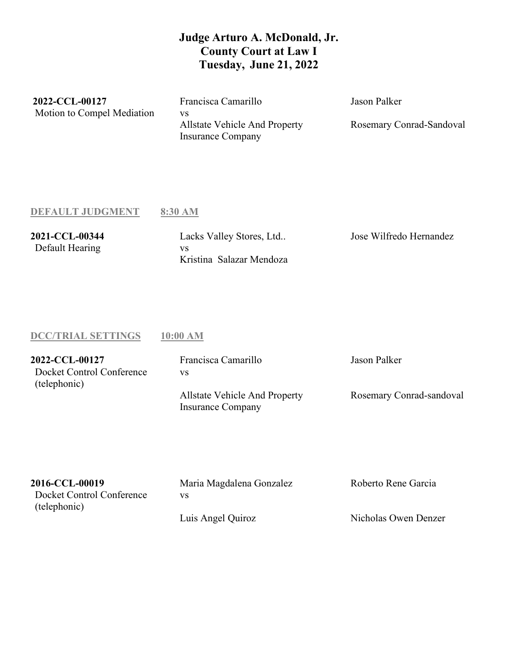## **Judge Arturo A. McDonald, Jr. County Court at Law I Tuesday, June 21, 2022**

**2022-CCL-00127** Francisca Camarillo Jason Palker Motion to Compel Mediation vs

Allstate Vehicle And Property Insurance Company

Rosemary Conrad-Sandoval

#### **DEFAULT JUDGMENT 8:30 AM**

Default Hearing vs

**2021-CCL-00344** Lacks Valley Stores, Ltd.. Jose Wilfredo Hernandez Kristina Salazar Mendoza

#### **DCC/TRIAL SETTINGS 10:00 AM**

| 2022-CCL-00127            | Francisca Camarillo                                              | Jason Palker             |
|---------------------------|------------------------------------------------------------------|--------------------------|
| Docket Control Conference | VS                                                               |                          |
| (telephonic)              |                                                                  |                          |
|                           | <b>Allstate Vehicle And Property</b><br><b>Insurance Company</b> | Rosemary Conrad-sandoval |

| 2016-CCL-00019            | Maria Magdalena Gonzalez | Roberto Rene Garcia  |
|---------------------------|--------------------------|----------------------|
| Docket Control Conference | VS                       |                      |
| (telephonic)              |                          |                      |
|                           | Luis Angel Quiroz        | Nicholas Owen Denzer |